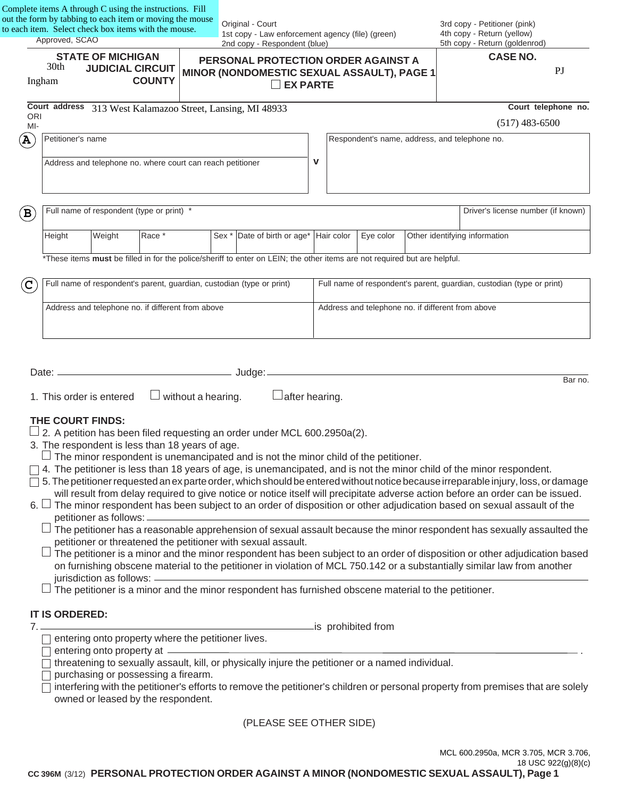| out the form by tabbing to each item or moving the mouse<br>to each item. Select check box items with the mouse.<br>Approved, SCAO |                                                   |                                                                                                                      |               | Original - Court<br>1st copy - Law enforcement agency (file) (green)<br>2nd copy - Respondent (blue) |                                                                                                                                                                                                                                 |                       | 3rd copy - Petitioner (pink)<br>4th copy - Return (yellow)<br>5th copy - Return (goldenrod) |  |                                                                                                                                                                                                                                                                                                                                                                                                                                                                                                                                                                                                                                                                                                                                                                                                                                                                                                                     |
|------------------------------------------------------------------------------------------------------------------------------------|---------------------------------------------------|----------------------------------------------------------------------------------------------------------------------|---------------|------------------------------------------------------------------------------------------------------|---------------------------------------------------------------------------------------------------------------------------------------------------------------------------------------------------------------------------------|-----------------------|---------------------------------------------------------------------------------------------|--|---------------------------------------------------------------------------------------------------------------------------------------------------------------------------------------------------------------------------------------------------------------------------------------------------------------------------------------------------------------------------------------------------------------------------------------------------------------------------------------------------------------------------------------------------------------------------------------------------------------------------------------------------------------------------------------------------------------------------------------------------------------------------------------------------------------------------------------------------------------------------------------------------------------------|
| Ingham                                                                                                                             | 30th                                              | <b>STATE OF MICHIGAN</b><br><b>JUDICIAL CIRCUIT</b>                                                                  | <b>COUNTY</b> |                                                                                                      | PERSONAL PROTECTION ORDER AGAINST A<br>MINOR (NONDOMESTIC SEXUAL ASSAULT), PAGE 1                                                                                                                                               | <b>EX PARTE</b>       |                                                                                             |  | <b>CASE NO.</b><br>$\mathbf{P}$                                                                                                                                                                                                                                                                                                                                                                                                                                                                                                                                                                                                                                                                                                                                                                                                                                                                                     |
| <b>ORI</b>                                                                                                                         |                                                   |                                                                                                                      |               |                                                                                                      | Court address 313 West Kalamazoo Street, Lansing, MI 48933                                                                                                                                                                      |                       |                                                                                             |  | Court telephone no.                                                                                                                                                                                                                                                                                                                                                                                                                                                                                                                                                                                                                                                                                                                                                                                                                                                                                                 |
| MI-                                                                                                                                |                                                   |                                                                                                                      |               |                                                                                                      |                                                                                                                                                                                                                                 |                       |                                                                                             |  | $(517)$ 483-6500                                                                                                                                                                                                                                                                                                                                                                                                                                                                                                                                                                                                                                                                                                                                                                                                                                                                                                    |
| $\mathbf A$                                                                                                                        | Petitioner's name                                 | Address and telephone no. where court can reach petitioner                                                           |               |                                                                                                      |                                                                                                                                                                                                                                 | $\mathbf v$           |                                                                                             |  | Respondent's name, address, and telephone no.                                                                                                                                                                                                                                                                                                                                                                                                                                                                                                                                                                                                                                                                                                                                                                                                                                                                       |
| $\mathbf B$                                                                                                                        |                                                   | Full name of respondent (type or print) *                                                                            |               |                                                                                                      |                                                                                                                                                                                                                                 |                       |                                                                                             |  | Driver's license number (if known)                                                                                                                                                                                                                                                                                                                                                                                                                                                                                                                                                                                                                                                                                                                                                                                                                                                                                  |
|                                                                                                                                    | Height                                            | Weight                                                                                                               | Race *        |                                                                                                      | Sex * Date of birth or age*                                                                                                                                                                                                     | Hair color            | Eye color                                                                                   |  | Other identifying information                                                                                                                                                                                                                                                                                                                                                                                                                                                                                                                                                                                                                                                                                                                                                                                                                                                                                       |
|                                                                                                                                    |                                                   |                                                                                                                      |               |                                                                                                      | *These items must be filled in for the police/sheriff to enter on LEIN; the other items are not required but are helpful.                                                                                                       |                       |                                                                                             |  |                                                                                                                                                                                                                                                                                                                                                                                                                                                                                                                                                                                                                                                                                                                                                                                                                                                                                                                     |
|                                                                                                                                    |                                                   |                                                                                                                      |               |                                                                                                      | Full name of respondent's parent, guardian, custodian (type or print)                                                                                                                                                           |                       |                                                                                             |  | Full name of respondent's parent, guardian, custodian (type or print)                                                                                                                                                                                                                                                                                                                                                                                                                                                                                                                                                                                                                                                                                                                                                                                                                                               |
| $\mathbf{C}$                                                                                                                       |                                                   |                                                                                                                      |               |                                                                                                      |                                                                                                                                                                                                                                 |                       |                                                                                             |  |                                                                                                                                                                                                                                                                                                                                                                                                                                                                                                                                                                                                                                                                                                                                                                                                                                                                                                                     |
|                                                                                                                                    | Address and telephone no. if different from above |                                                                                                                      |               | Address and telephone no. if different from above                                                    |                                                                                                                                                                                                                                 |                       |                                                                                             |  |                                                                                                                                                                                                                                                                                                                                                                                                                                                                                                                                                                                                                                                                                                                                                                                                                                                                                                                     |
|                                                                                                                                    |                                                   |                                                                                                                      |               |                                                                                                      |                                                                                                                                                                                                                                 |                       |                                                                                             |  |                                                                                                                                                                                                                                                                                                                                                                                                                                                                                                                                                                                                                                                                                                                                                                                                                                                                                                                     |
|                                                                                                                                    |                                                   | 1. This order is entered                                                                                             |               | $\Box$ without a hearing.                                                                            |                                                                                                                                                                                                                                 | $\Box$ after hearing. |                                                                                             |  |                                                                                                                                                                                                                                                                                                                                                                                                                                                                                                                                                                                                                                                                                                                                                                                                                                                                                                                     |
| $6. \Box$                                                                                                                          | THE COURT FINDS:                                  | 3. The respondent is less than 18 years of age.<br>petitioner as follows: _<br>jurisdiction as follows: ____________ |               |                                                                                                      | 2. A petition has been filed requesting an order under MCL 600.2950a(2).<br>The minor respondent is unemancipated and is not the minor child of the petitioner.<br>petitioner or threatened the petitioner with sexual assault. |                       |                                                                                             |  | Bar no.<br>4. The petitioner is less than 18 years of age, is unemancipated, and is not the minor child of the minor respondent.<br>5. The petitioner requested an exparte order, which should be entered without notice because irreparable injury, loss, or damage<br>will result from delay required to give notice or notice itself will precipitate adverse action before an order can be issued.<br>The minor respondent has been subject to an order of disposition or other adjudication based on sexual assault of the<br>The petitioner has a reasonable apprehension of sexual assault because the minor respondent has sexually assaulted the<br>The petitioner is a minor and the minor respondent has been subject to an order of disposition or other adjudication based<br>on furnishing obscene material to the petitioner in violation of MCL 750.142 or a substantially similar law from another |
|                                                                                                                                    |                                                   |                                                                                                                      |               |                                                                                                      | The petitioner is a minor and the minor respondent has furnished obscene material to the petitioner.                                                                                                                            |                       |                                                                                             |  |                                                                                                                                                                                                                                                                                                                                                                                                                                                                                                                                                                                                                                                                                                                                                                                                                                                                                                                     |
| 7.                                                                                                                                 | IT IS ORDERED:                                    |                                                                                                                      |               |                                                                                                      |                                                                                                                                                                                                                                 | _is prohibited from   |                                                                                             |  |                                                                                                                                                                                                                                                                                                                                                                                                                                                                                                                                                                                                                                                                                                                                                                                                                                                                                                                     |
|                                                                                                                                    |                                                   | entering onto property where the petitioner lives.<br>entering onto property at -                                    |               |                                                                                                      |                                                                                                                                                                                                                                 |                       |                                                                                             |  |                                                                                                                                                                                                                                                                                                                                                                                                                                                                                                                                                                                                                                                                                                                                                                                                                                                                                                                     |
|                                                                                                                                    |                                                   | purchasing or possessing a firearm.                                                                                  |               |                                                                                                      | threatening to sexually assault, kill, or physically injure the petitioner or a named individual.                                                                                                                               |                       |                                                                                             |  |                                                                                                                                                                                                                                                                                                                                                                                                                                                                                                                                                                                                                                                                                                                                                                                                                                                                                                                     |

(PLEASE SEE OTHER SIDE)

MCL 600.2950a, MCR 3.705, MCR 3.706, 18 USC 922(g)(8)(c)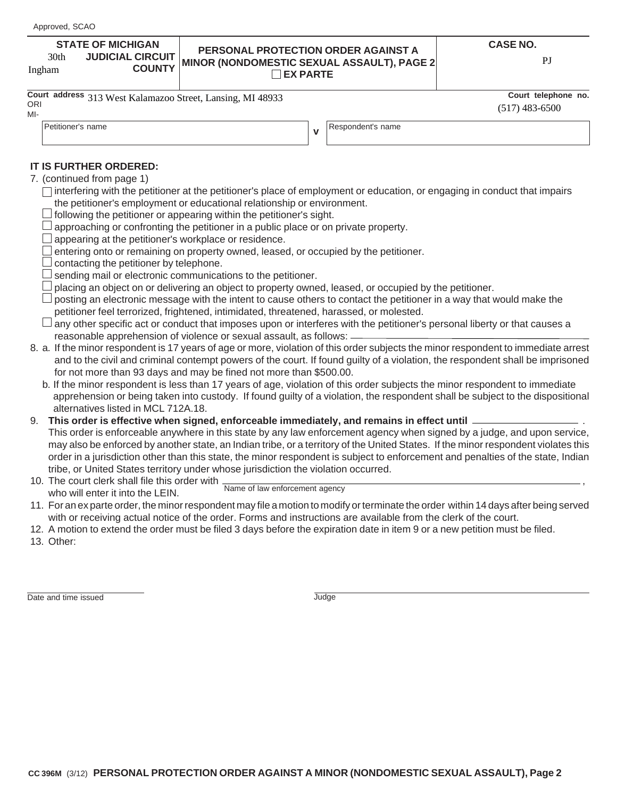#### **JUDICIAL CIRCUIT COUNTY** 30th

### **PERSONAL PROTECTION ORDER AGAINST A STATE OF MICHIGAN CASE NO.** The MINOR (NONDOMESTIC SEXUAL ASSAULT), PAGE 2<br>Ingham **COUNTY** MINOR (NONDOMESTIC SEXUAL ASSAULT), PAGE 2 **EX PARTE**

**v**

|               | Court address 313 West Kalamazoo Street, Lansing, MI 48933 | Court telephone no. |
|---------------|------------------------------------------------------------|---------------------|
| $\sim$ $\sim$ |                                                            |                     |

ORI MI-

|                  | Court telephone no |  |
|------------------|--------------------|--|
| $(517)$ 483-6500 |                    |  |

Petitioner's name **Respondent's name** Respondent's name

- **IT IS FURTHER ORDERED:** 7. (continued from page 1)
	- $\Box$  interfering with the petitioner at the petitioner's place of employment or education, or engaging in conduct that impairs the petitioner's employment or educational relationship or environment.
	- $\Box$  following the petitioner or appearing within the petitioner's sight.
	- $\Box$  approaching or confronting the petitioner in a public place or on private property.
	- $\Box$  appearing at the petitioner's workplace or residence.
	- $\Box$  entering onto or remaining on property owned, leased, or occupied by the petitioner.
	- $\Box$  contacting the petitioner by telephone.
	- $\Box$  sending mail or electronic communications to the petitioner.
	- $\Box$  placing an object on or delivering an object to property owned, leased, or occupied by the petitioner.
	- $\Box$  posting an electronic message with the intent to cause others to contact the petitioner in a way that would make the petitioner feel terrorized, frightened, intimidated, threatened, harassed, or molested.
	- $\Box$  any other specific act or conduct that imposes upon or interferes with the petitioner's personal liberty or that causes a reasonable apprehension of violence or sexual assault, as follows:
- 8. a. If the minor respondent is 17 years of age or more, violation of this order subjects the minor respondent to immediate arrest and to the civil and criminal contempt powers of the court. If found guilty of a violation, the respondent shall be imprisoned for not more than 93 days and may be fined not more than \$500.00.
	- b. If the minor respondent is less than 17 years of age, violation of this order subjects the minor respondent to immediate apprehension or being taken into custody. If found guilty of a violation, the respondent shall be subject to the dispositional alternatives listed in MCL 712A.18.
- 9. **This order is effective when signed, enforceable immediately, and remains in effect until** . This order is enforceable anywhere in this state by any law enforcement agency when signed by a judge, and upon service, may also be enforced by another state, an Indian tribe, or a territory of the United States.If the minor respondent violates this order in a jurisdiction other than this state, the minor respondent is subject to enforcement and penalties of the state, Indian tribe, or United States territory under whose jurisdiction the violation occurred.
- 10. The court clerk shall file this order with who will enter it into the LEIN. Name of law enforcement agency
- 11. For an ex parte order, the minor respondent may file a motion to modify or terminate the order within 14 days after being served with or receiving actual notice of the order. Forms and instructions are available from the clerk of the court.
- 12. A motion to extend the order must be filed 3 days before the expiration date in item 9 or a new petition must be filed.
- 13. Other:

Date and time issued Judge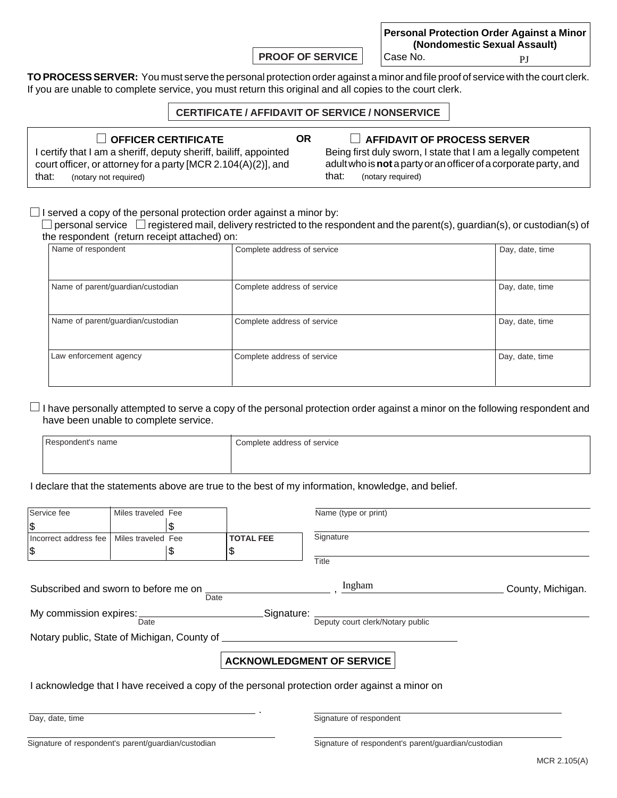**PROOF OF SERVICE**

**Personal Protection Order Against a Minor (Nondomestic Sexual Assault)** Case No. PJ

**TO PROCESS SERVER:** You must serve the personal protection order against a minor and file proof of service with the court clerk. If you are unable to complete service, you must return this original and all copies to the court clerk.

### **CERTIFICATE / AFFIDAVIT OF SERVICE / NONSERVICE**

**OR**

**OFFICER CERTIFICATE AFFIDAVIT OF PROCESS SERVER** I certify that I am a sheriff, deputy sheriff, bailiff, appointed court officer, or attorney for a party [MCR 2.104(A)(2)], and that: (notary not required)

Being first duly sworn, I state that I am a legally competent adult who is **not** a party or an officer of a corporate party, and that: (notary required)

 $\Box$  I served a copy of the personal protection order against a minor by:

 $\Box$  personal service  $\Box$  registered mail, delivery restricted to the respondent and the parent(s), guardian(s), or custodian(s) of the respondent (return receipt attached) on:

| Name of respondent                | Complete address of service | Day, date, time |
|-----------------------------------|-----------------------------|-----------------|
|                                   |                             |                 |
| Name of parent/guardian/custodian | Complete address of service | Day, date, time |
| Name of parent/guardian/custodian | Complete address of service | Day, date, time |
| Law enforcement agency            | Complete address of service | Day, date, time |

 $\Box$  I have personally attempted to serve a copy of the personal protection order against a minor on the following respondent and have been unable to complete service.

| Respondent's name | Complete address of service |
|-------------------|-----------------------------|
|                   |                             |

I declare that the statements above are true to the best of my information, knowledge, and belief.

| Service fee                                           | Miles traveled Fee |      |                                                                      | Name (type or print)                                                                          |                   |  |
|-------------------------------------------------------|--------------------|------|----------------------------------------------------------------------|-----------------------------------------------------------------------------------------------|-------------------|--|
| \$                                                    |                    | \$   |                                                                      |                                                                                               |                   |  |
| Incorrect address fee                                 | Miles traveled Fee |      | <b>TOTAL FEE</b>                                                     | Signature                                                                                     |                   |  |
| \$                                                    |                    | \$   | \$                                                                   |                                                                                               |                   |  |
|                                                       |                    |      |                                                                      | <b>Title</b>                                                                                  |                   |  |
|                                                       |                    |      |                                                                      |                                                                                               |                   |  |
| Subscribed and sworn to before me on _____            |                    |      |                                                                      | Ingham                                                                                        | County, Michigan. |  |
|                                                       |                    | Date |                                                                      |                                                                                               |                   |  |
|                                                       |                    |      | My commission expires: ___________________________________Signature: |                                                                                               |                   |  |
|                                                       | Date               |      |                                                                      | Deputy court clerk/Notary public                                                              |                   |  |
| Notary public, State of Michigan, County of _________ |                    |      |                                                                      |                                                                                               |                   |  |
|                                                       |                    |      |                                                                      |                                                                                               |                   |  |
| <b>ACKNOWLEDGMENT OF SERVICE</b>                      |                    |      |                                                                      |                                                                                               |                   |  |
|                                                       |                    |      |                                                                      |                                                                                               |                   |  |
|                                                       |                    |      |                                                                      | I acknowledge that I have received a copy of the personal protection order against a minor on |                   |  |
|                                                       |                    |      |                                                                      |                                                                                               |                   |  |
|                                                       |                    |      |                                                                      |                                                                                               |                   |  |
| Day, date, time                                       |                    |      |                                                                      | Signature of respondent                                                                       |                   |  |

Signature of respondent's parent/guardian/custodian Signature of respondent's parent/guardian/custodian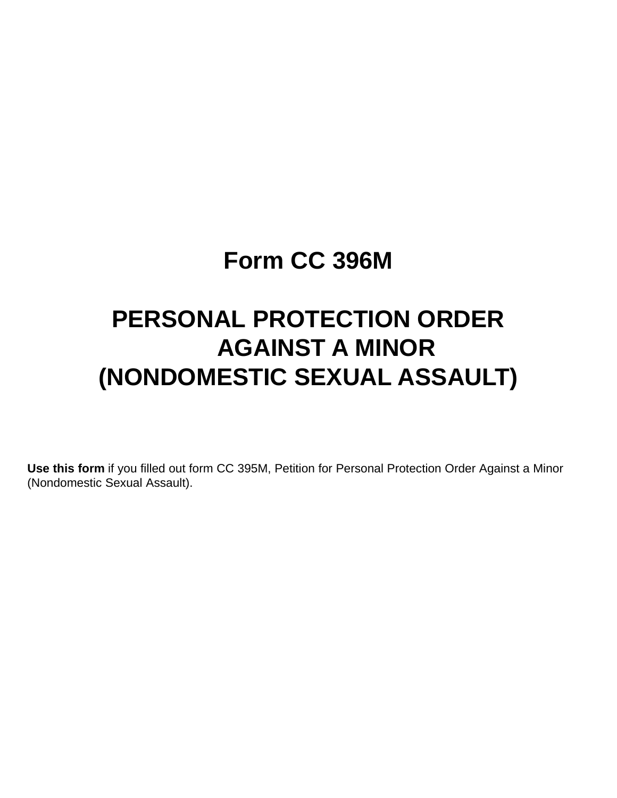## **Form CC 396M**

# **PERSONAL PROTECTION ORDER AGAINST A MINOR (NONDOMESTIC SEXUAL ASSAULT)**

**Use this form** if you filled out form CC 395M, Petition for Personal Protection Order Against a Minor (Nondomestic Sexual Assault).